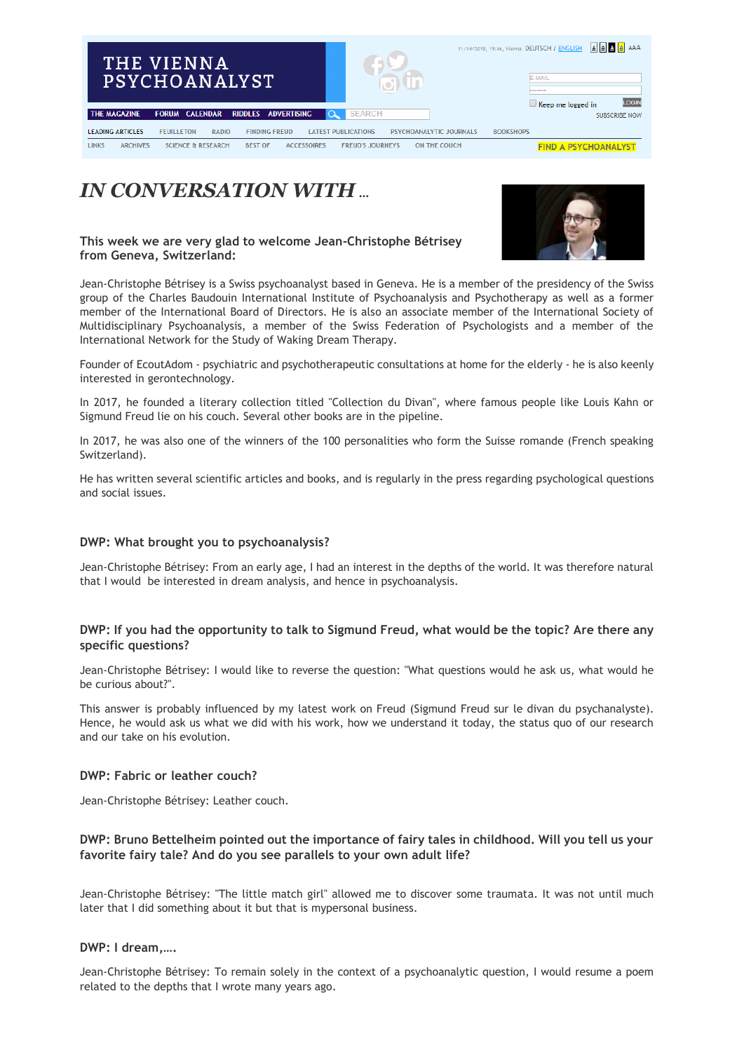

## *IN CONVERSATION WITH* **…**

### **This week we are very glad to welcome Jean-Christophe Bétrisey from Geneva, Switzerland:**



Jean-Christophe Bétrisey is a Swiss psychoanalyst based in Geneva. He is a member of the presidency of the Swiss group of the Charles Baudouin International Institute of Psychoanalysis and Psychotherapy as well as a former member of the International Board of Directors. He is also an associate member of the International Society of Multidisciplinary Psychoanalysis, a member of the Swiss Federation of Psychologists and a member of the International Network for the Study of Waking Dream Therapy.

Founder of EcoutAdom - psychiatric and psychotherapeutic consultations at home for the elderly - he is also keenly interested in gerontechnology.

In 2017, he founded a literary collection titled "Collection du Divan", where famous people like Louis Kahn or Sigmund Freud lie on his couch. Several other books are in the pipeline.

In 2017, he was also one of the winners of the 100 personalities who form the Suisse romande (French speaking Switzerland).

He has written several scientific articles and books, and is regularly in the press regarding psychological questions and social issues.

### **DWP: What brought you to psychoanalysis?**

Jean-Christophe Bétrisey: From an early age, I had an interest in the depths of the world. It was therefore natural that I would be interested in dream analysis, and hence in psychoanalysis.

## **DWP: If you had the opportunity to talk to Sigmund Freud, what would be the topic? Are there any specific questions?**

Jean-Christophe Bétrisey: I would like to reverse the question: "What questions would he ask us, what would he be curious about?".

This answer is probably influenced by my latest work on Freud (Sigmund Freud sur le divan du psychanalyste). Hence, he would ask us what we did with his work, how we understand it today, the status quo of our research and our take on his evolution.

### **DWP: Fabric or leather couch?**

Jean-Christophe Bétrisey: Leather couch.

## **DWP: Bruno Bettelheim pointed out the importance of fairy tales in childhood. Will you tell us your favorite fairy tale? And do you see parallels to your own adult life?**

Jean-Christophe Bétrisey: "The little match girl" allowed me to discover some traumata. It was not until much later that I did something about it but that is mypersonal business.

### **DWP: I dream,….**

Jean-Christophe Bétrisey: To remain solely in the context of a psychoanalytic question, I would resume a poem related to the depths that I wrote many years ago.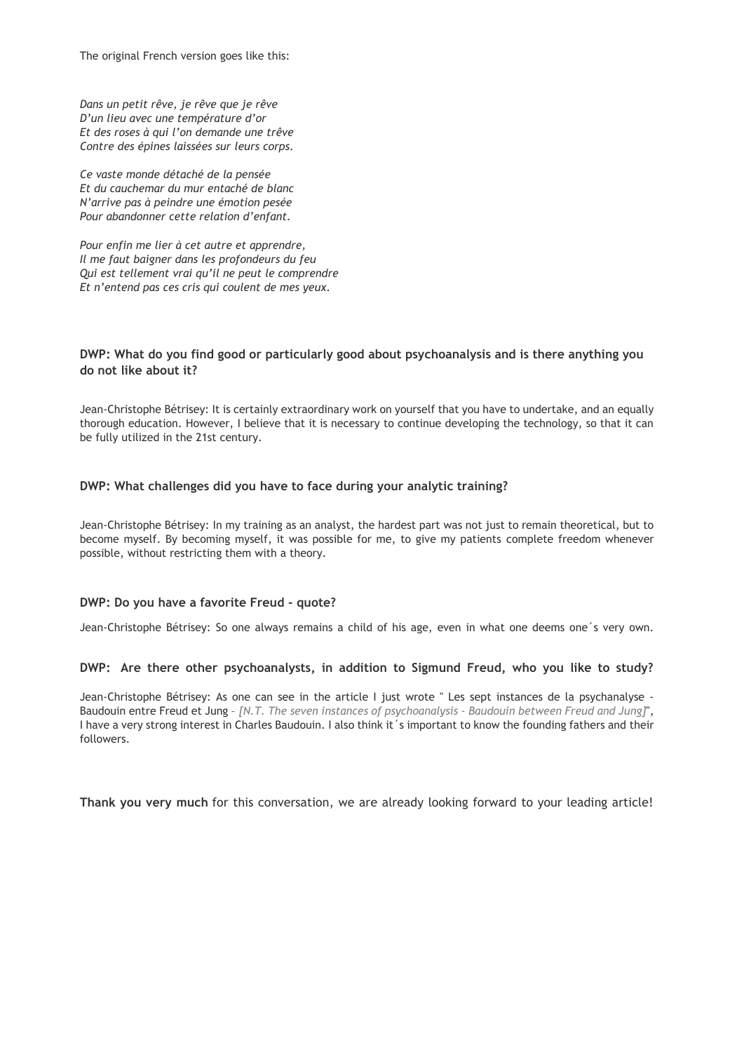The original French version goes like this:

*Dans un petit rêve, je rêve que je rêve D'un lieu avec une température d'or Et des roses à qui l'on demande une trêve Contre des épines laissées sur leurs corps.*

*Ce vaste monde détaché de la pensée Et du cauchemar du mur entaché de blanc N'arrive pas à peindre une émotion pesée Pour abandonner cette relation d'enfant.*

*Pour enfin me lier à cet autre et apprendre, Il me faut baigner dans les profondeurs du feu Qui est tellement vrai qu'il ne peut le comprendre Et n'entend pas ces cris qui coulent de mes yeux.*

## **DWP: What do you find good or particularly good about psychoanalysis and is there anything you do not like about it?**

Jean-Christophe Bétrisey: It is certainly extraordinary work on yourself that you have to undertake, and an equally thorough education. However, I believe that it is necessary to continue developing the technology, so that it can be fully utilized in the 21st century.

### **DWP: What challenges did you have to face during your analytic training?**

Jean-Christophe Bétrisey: In my training as an analyst, the hardest part was not just to remain theoretical, but to become myself. By becoming myself, it was possible for me, to give my patients complete freedom whenever possible, without restricting them with a theory.

### **DWP: Do you have a favorite Freud - quote?**

Jean-Christophe Bétrisey: So one always remains a child of his age, even in what one deems one´s very own.

### **DWP: Are there other psychoanalysts, in addition to Sigmund Freud, who you like to study?**

Jean-Christophe Bétrisey: As one can see in the article I just wrote " Les sept instances de la psychanalyse - Baudouin entre Freud et Jung – *[N.T. The seven instances of psychoanalysis - Baudouin between Freud and Jung]*", I have a very strong interest in Charles Baudouin. I also think it´s important to know the founding fathers and their followers.

**Thank you very much** for this conversation, we are already looking forward to your leading article!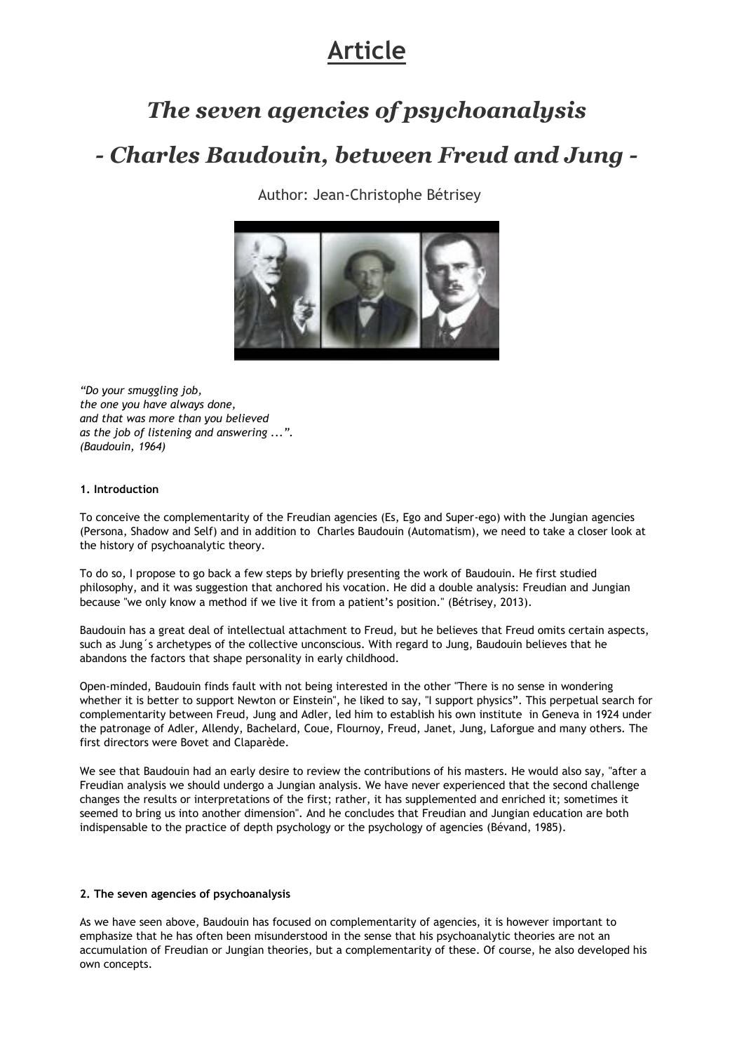# **Article**

## *The seven agencies of psychoanalysis*

## *- Charles Baudouin, between Freud and Jung -*

Author: Jean-Christophe Bétrisey



*"Do your smuggling job, the one you have always done, and that was more than you believed as the job of listening and answering ...". (Baudouin, 1964)*

### **1. Introduction**

To conceive the complementarity of the Freudian agencies (Es, Ego and Super-ego) with the Jungian agencies (Persona, Shadow and Self) and in addition to Charles Baudouin (Automatism), we need to take a closer look at the history of psychoanalytic theory.

To do so, I propose to go back a few steps by briefly presenting the work of Baudouin. He first studied philosophy, and it was suggestion that anchored his vocation. He did a double analysis: Freudian and Jungian because "we only know a method if we live it from a patient's position." (Bétrisey, 2013).

Baudouin has a great deal of intellectual attachment to Freud, but he believes that Freud omits certain aspects, such as Jung´s archetypes of the collective unconscious. With regard to Jung, Baudouin believes that he abandons the factors that shape personality in early childhood.

Open-minded, Baudouin finds fault with not being interested in the other "There is no sense in wondering whether it is better to support Newton or Einstein", he liked to say, "I support physics". This perpetual search for complementarity between Freud, Jung and Adler, led him to establish his own institute in Geneva in 1924 under the patronage of Adler, Allendy, Bachelard, Coue, Flournoy, Freud, Janet, Jung, Laforgue and many others. The first directors were Bovet and Claparède.

We see that Baudouin had an early desire to review the contributions of his masters. He would also say, "after a Freudian analysis we should undergo a Jungian analysis. We have never experienced that the second challenge changes the results or interpretations of the first; rather, it has supplemented and enriched it; sometimes it seemed to bring us into another dimension". And he concludes that Freudian and Jungian education are both indispensable to the practice of depth psychology or the psychology of agencies (Bévand, 1985).

### **2. The seven agencies of psychoanalysis**

As we have seen above, Baudouin has focused on complementarity of agencies, it is however important to emphasize that he has often been misunderstood in the sense that his psychoanalytic theories are not an accumulation of Freudian or Jungian theories, but a complementarity of these. Of course, he also developed his own concepts.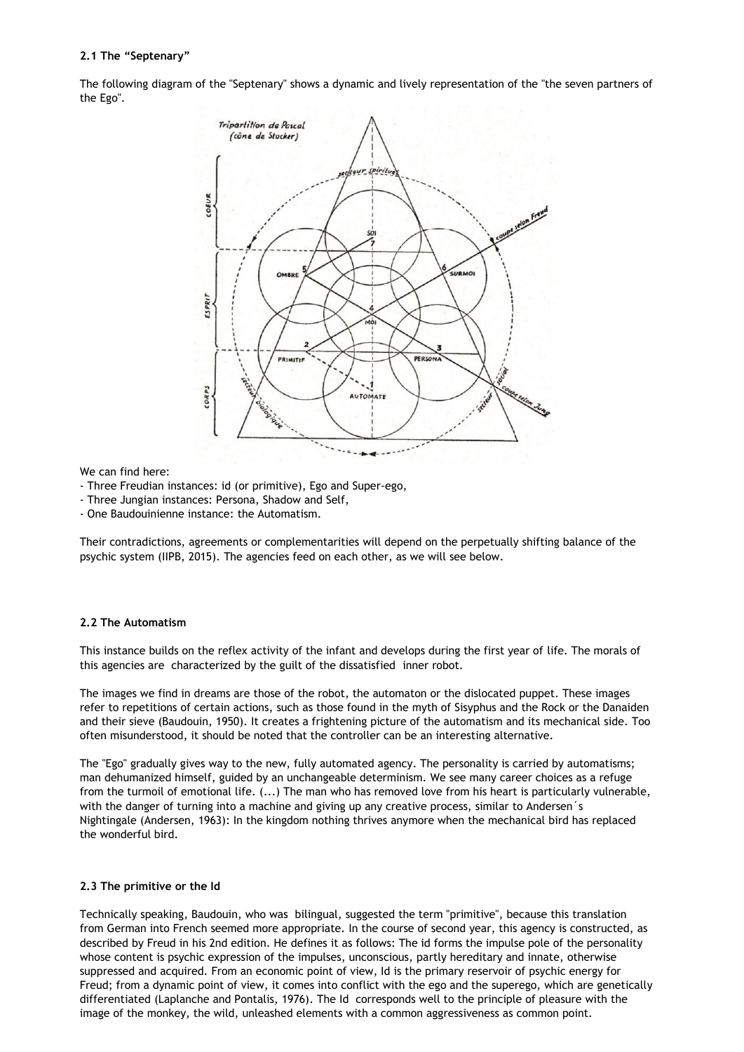### **2.1 The "Septenary"**

The following diagram of the "Septenary" shows a dynamic and lively representation of the "the seven partners of the Ego".



#### We can find here:

- Three Freudian instances: id (or primitive), Ego and Super-ego,
- Three Jungian instances: Persona, Shadow and Self,
- One Baudouinienne instance: the Automatism.

Their contradictions, agreements or complementarities will depend on the perpetually shifting balance of the psychic system (IIPB, 2015). The agencies feed on each other, as we will see below.

#### **2.2 The Automatism**

This instance builds on the reflex activity of the infant and develops during the first year of life. The morals of this agencies are characterized by the guilt of the dissatisfied inner robot.

The images we find in dreams are those of the robot, the automaton or the dislocated puppet. These images refer to repetitions of certain actions, such as those found in the myth of Sisyphus and the Rock or the Danaiden and their sieve (Baudouin, 1950). It creates a frightening picture of the automatism and its mechanical side. Too often misunderstood, it should be noted that the controller can be an interesting alternative.

The "Ego" gradually gives way to the new, fully automated agency. The personality is carried by automatisms; man dehumanized himself, guided by an unchangeable determinism. We see many career choices as a refuge from the turmoil of emotional life. (...) The man who has removed love from his heart is particularly vulnerable, with the danger of turning into a machine and giving up any creative process, similar to Andersen's Nightingale (Andersen, 1963): In the kingdom nothing thrives anymore when the mechanical bird has replaced the wonderful bird.

#### **2.3 The primitive or the Id**

Technically speaking, Baudouin, who was bilingual, suggested the term "primitive", because this translation from German into French seemed more appropriate. In the course of second year, this agency is constructed, as described by Freud in his 2nd edition. He defines it as follows: The id forms the impulse pole of the personality whose content is psychic expression of the impulses, unconscious, partly hereditary and innate, otherwise suppressed and acquired. From an economic point of view, Id is the primary reservoir of psychic energy for Freud; from a dynamic point of view, it comes into conflict with the ego and the superego, which are genetically differentiated (Laplanche and Pontalis, 1976). The Id corresponds well to the principle of pleasure with the image of the monkey, the wild, unleashed elements with a common aggressiveness as common point.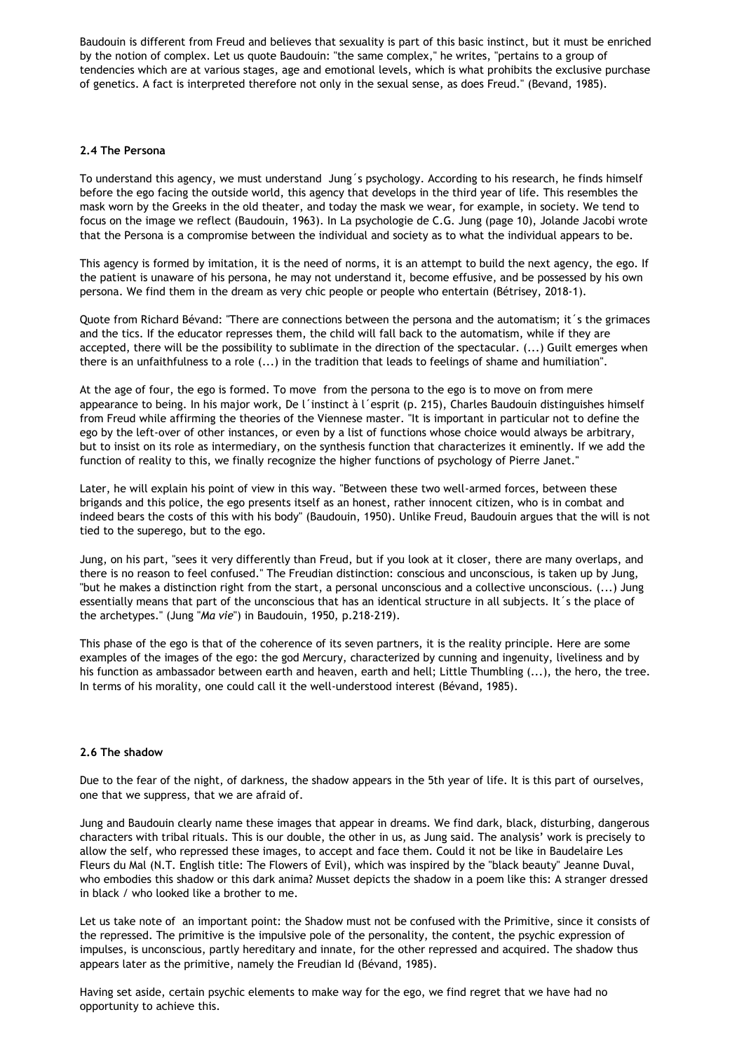Baudouin is different from Freud and believes that sexuality is part of this basic instinct, but it must be enriched by the notion of complex. Let us quote Baudouin: "the same complex," he writes, "pertains to a group of tendencies which are at various stages, age and emotional levels, which is what prohibits the exclusive purchase of genetics. A fact is interpreted therefore not only in the sexual sense, as does Freud." (Bevand, 1985).

#### **2.4 The Persona**

To understand this agency, we must understand Jung´s psychology. According to his research, he finds himself before the ego facing the outside world, this agency that develops in the third year of life. This resembles the mask worn by the Greeks in the old theater, and today the mask we wear, for example, in society. We tend to focus on the image we reflect (Baudouin, 1963). In La psychologie de C.G. Jung (page 10), Jolande Jacobi wrote that the Persona is a compromise between the individual and society as to what the individual appears to be.

This agency is formed by imitation, it is the need of norms, it is an attempt to build the next agency, the ego. If the patient is unaware of his persona, he may not understand it, become effusive, and be possessed by his own persona. We find them in the dream as very chic people or people who entertain (Bétrisey, 2018-1).

Quote from Richard Bévand: "There are connections between the persona and the automatism; it´s the grimaces and the tics. If the educator represses them, the child will fall back to the automatism, while if they are accepted, there will be the possibility to sublimate in the direction of the spectacular. (...) Guilt emerges when there is an unfaithfulness to a role (...) in the tradition that leads to feelings of shame and humiliation".

At the age of four, the ego is formed. To move from the persona to the ego is to move on from mere appearance to being. In his major work, De l´instinct à l´esprit (p. 215), Charles Baudouin distinguishes himself from Freud while affirming the theories of the Viennese master. "It is important in particular not to define the ego by the left-over of other instances, or even by a list of functions whose choice would always be arbitrary, but to insist on its role as intermediary, on the synthesis function that characterizes it eminently. If we add the function of reality to this, we finally recognize the higher functions of psychology of Pierre Janet."

Later, he will explain his point of view in this way. "Between these two well-armed forces, between these brigands and this police, the ego presents itself as an honest, rather innocent citizen, who is in combat and indeed bears the costs of this with his body" (Baudouin, 1950). Unlike Freud, Baudouin argues that the will is not tied to the superego, but to the ego.

Jung, on his part, "sees it very differently than Freud, but if you look at it closer, there are many overlaps, and there is no reason to feel confused." The Freudian distinction: conscious and unconscious, is taken up by Jung, "but he makes a distinction right from the start, a personal unconscious and a collective unconscious. (...) Jung essentially means that part of the unconscious that has an identical structure in all subjects. It´s the place of the archetypes." (Jung "*Ma vie*") in Baudouin, 1950, p.218-219).

This phase of the ego is that of the coherence of its seven partners, it is the reality principle. Here are some examples of the images of the ego: the god Mercury, characterized by cunning and ingenuity, liveliness and by his function as ambassador between earth and heaven, earth and hell; Little Thumbling (...), the hero, the tree. In terms of his morality, one could call it the well-understood interest (Bévand, 1985).

#### **2.6 The shadow**

Due to the fear of the night, of darkness, the shadow appears in the 5th year of life. It is this part of ourselves, one that we suppress, that we are afraid of.

Jung and Baudouin clearly name these images that appear in dreams. We find dark, black, disturbing, dangerous characters with tribal rituals. This is our double, the other in us, as Jung said. The analysis' work is precisely to allow the self, who repressed these images, to accept and face them. Could it not be like in Baudelaire Les Fleurs du Mal (N.T. English title: The Flowers of Evil), which was inspired by the "black beauty" Jeanne Duval, who embodies this shadow or this dark anima? Musset depicts the shadow in a poem like this: A stranger dressed in black / who looked like a brother to me.

Let us take note of an important point: the Shadow must not be confused with the Primitive, since it consists of the repressed. The primitive is the impulsive pole of the personality, the content, the psychic expression of impulses, is unconscious, partly hereditary and innate, for the other repressed and acquired. The shadow thus appears later as the primitive, namely the Freudian Id (Bévand, 1985).

Having set aside, certain psychic elements to make way for the ego, we find regret that we have had no opportunity to achieve this.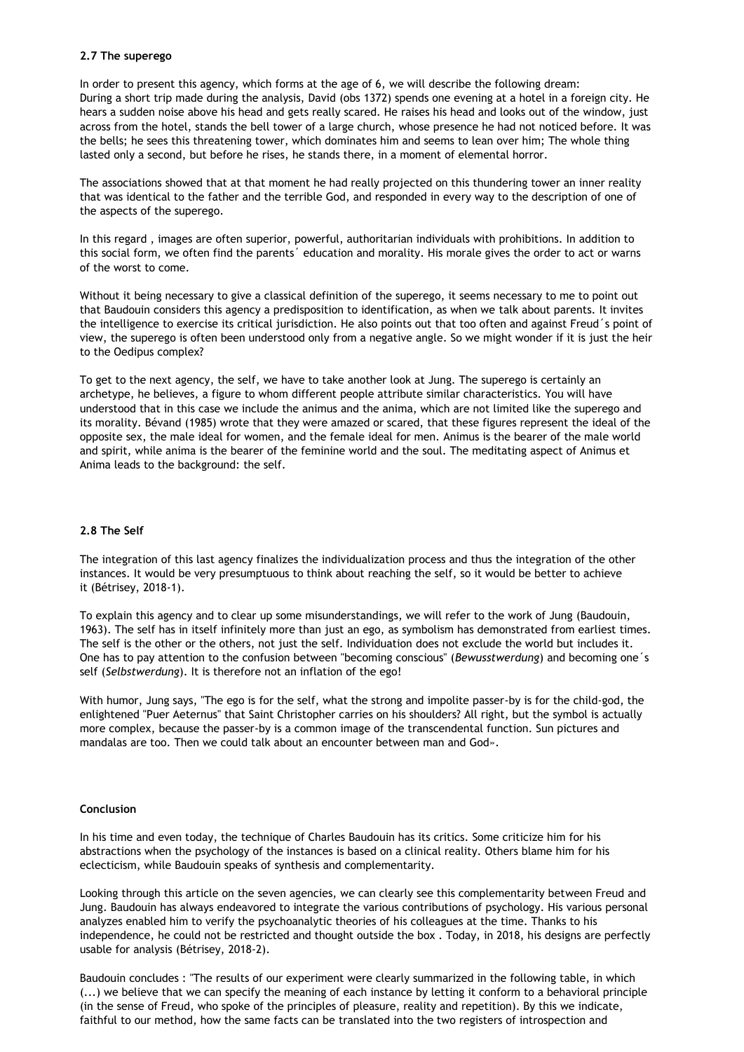#### **2.7 The superego**

In order to present this agency, which forms at the age of 6, we will describe the following dream: During a short trip made during the analysis, David (obs 1372) spends one evening at a hotel in a foreign city. He hears a sudden noise above his head and gets really scared. He raises his head and looks out of the window, just across from the hotel, stands the bell tower of a large church, whose presence he had not noticed before. It was the bells; he sees this threatening tower, which dominates him and seems to lean over him; The whole thing lasted only a second, but before he rises, he stands there, in a moment of elemental horror.

The associations showed that at that moment he had really projected on this thundering tower an inner reality that was identical to the father and the terrible God, and responded in every way to the description of one of the aspects of the superego.

In this regard , images are often superior, powerful, authoritarian individuals with prohibitions. In addition to this social form, we often find the parents´ education and morality. His morale gives the order to act or warns of the worst to come.

Without it being necessary to give a classical definition of the superego, it seems necessary to me to point out that Baudouin considers this agency a predisposition to identification, as when we talk about parents. It invites the intelligence to exercise its critical jurisdiction. He also points out that too often and against Freud´s point of view, the superego is often been understood only from a negative angle. So we might wonder if it is just the heir to the Oedipus complex?

To get to the next agency, the self, we have to take another look at Jung. The superego is certainly an archetype, he believes, a figure to whom different people attribute similar characteristics. You will have understood that in this case we include the animus and the anima, which are not limited like the superego and its morality. Bévand (1985) wrote that they were amazed or scared, that these figures represent the ideal of the opposite sex, the male ideal for women, and the female ideal for men. Animus is the bearer of the male world and spirit, while anima is the bearer of the feminine world and the soul. The meditating aspect of Animus et Anima leads to the background: the self.

### **2.8 The Self**

The integration of this last agency finalizes the individualization process and thus the integration of the other instances. It would be very presumptuous to think about reaching the self, so it would be better to achieve it (Bétrisey, 2018-1).

To explain this agency and to clear up some misunderstandings, we will refer to the work of Jung (Baudouin, 1963). The self has in itself infinitely more than just an ego, as symbolism has demonstrated from earliest times. The self is the other or the others, not just the self. Individuation does not exclude the world but includes it. One has to pay attention to the confusion between "becoming conscious" (*Bewusstwerdung*) and becoming one´s self (*Selbstwerdung*). It is therefore not an inflation of the ego!

With humor, Jung says, "The ego is for the self, what the strong and impolite passer-by is for the child-god, the enlightened "Puer Aeternus" that Saint Christopher carries on his shoulders? All right, but the symbol is actually more complex, because the passer-by is a common image of the transcendental function. Sun pictures and mandalas are too. Then we could talk about an encounter between man and God».

#### **Conclusion**

In his time and even today, the technique of Charles Baudouin has its critics. Some criticize him for his abstractions when the psychology of the instances is based on a clinical reality. Others blame him for his eclecticism, while Baudouin speaks of synthesis and complementarity.

Looking through this article on the seven agencies, we can clearly see this complementarity between Freud and Jung. Baudouin has always endeavored to integrate the various contributions of psychology. His various personal analyzes enabled him to verify the psychoanalytic theories of his colleagues at the time. Thanks to his independence, he could not be restricted and thought outside the box . Today, in 2018, his designs are perfectly usable for analysis (Bétrisey, 2018-2).

Baudouin concludes : "The results of our experiment were clearly summarized in the following table, in which (...) we believe that we can specify the meaning of each instance by letting it conform to a behavioral principle (in the sense of Freud, who spoke of the principles of pleasure, reality and repetition). By this we indicate, faithful to our method, how the same facts can be translated into the two registers of introspection and